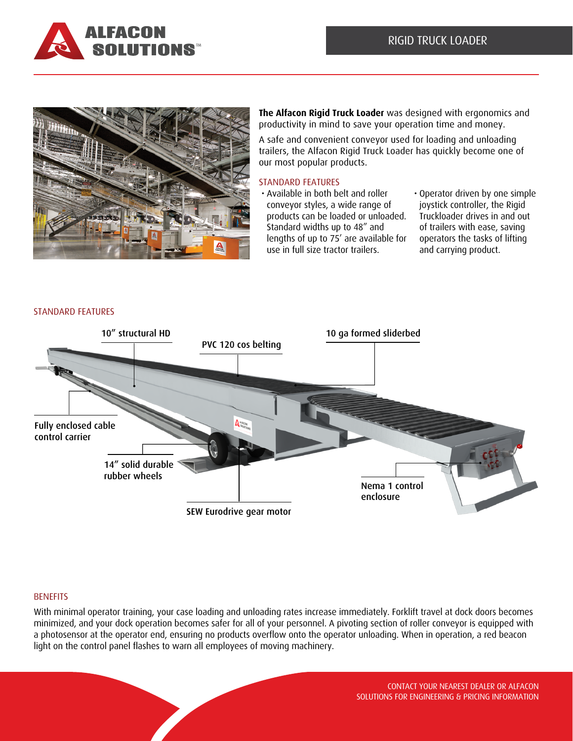



**The Alfacon Rigid Truck Loader** was designed with ergonomics and productivity in mind to save your operation time and money.

A safe and convenient conveyor used for loading and unloading trailers, the Alfacon Rigid Truck Loader has quickly become one of our most popular products.

## STANDARD FEATURES

- Available in both belt and roller conveyor styles, a wide range of products can be loaded or unloaded. Standard widths up to 48" and lengths of up to 75' are available for use in full size tractor trailers.
- Operator driven by one simple joystick controller, the Rigid Truckloader drives in and out of trailers with ease, saving operators the tasks of lifting and carrying product.



### STANDARD FEATURES

# **BENEFITS**

With minimal operator training, your case loading and unloading rates increase immediately. Forklift travel at dock doors becomes minimized, and your dock operation becomes safer for all of your personnel. A pivoting section of roller conveyor is equipped with a photosensor at the operator end, ensuring no products overflow onto the operator unloading. When in operation, a red beacon light on the control panel flashes to warn all employees of moving machinery.